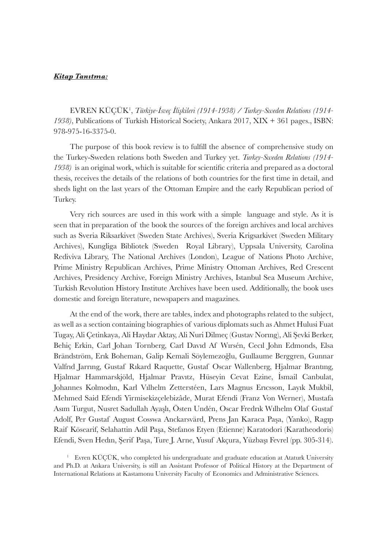## *Kitap Tanıtma:*

EVREN KÜÇÜK<sup>1</sup> , *Türkiye-İsveç İlişkileri (1914-1938) / Turkey-Sweden Relations (1914- 1938)*, Publications of Turkish Historical Society, Ankara 2017, XIX + 361 pages., ISBN: 978-975-16-3375-0.

The purpose of this book review is to fulfill the absence of comprehensive study on the Turkey-Sweden relations both Sweden and Turkey yet. *Turkey-Sweden Relations (1914-* 1938) is an original work, which is suitable for scientific criteria and prepared as a doctoral thesis, receives the details of the relations of both countries for the first time in detail, and sheds light on the last years of the Ottoman Empire and the early Republican period of Turkey.

Very rich sources are used in this work with a simple language and style. As it is seen that in preparation of the book the sources of the foreign archives and local archives such as Sveria Riksarkivet (Sweden State Archives), Sveria Krigsarkivet (Sweden Military Archives), Kungliga Bibliotek (Sweden Royal Library), Uppsala University, Carolina Rediviva Library, The National Archives (London), League of Nations Photo Archive, Prime Ministry Republican Archives, Prime Ministry Ottoman Archives, Red Crescent Archives, Presidency Archive, Foreign Ministry Archives, Istanbul Sea Museum Archive, Turkish Revolution History Institute Archives have been used. Additionally, the book uses domestic and foreign literature, newspapers and magazines.

At the end of the work, there are tables, index and photographs related to the subject, as well as a section containing biographies of various diplomats such as Ahmet Hulusi Fuat Tugay, Ali Çetinkaya, Ali Haydar Aktay, Ali Nuri Dilmeç (Gustav Norıng), Ali Şevki Berker, Behiç Erkin, Carl Johan Tornberg, Carl Davıd Af Wırsén, Cecıl John Edmonds, Elsa Brändström, Erık Boheman, Galip Kemali Söylemezoğlu, Guıllaume Berggren, Gunnar Valfrıd Jarrıng, Gustaf Rıkard Raquette, Gustaf Oscar Wallenberg, Hjalmar Brantıng, Hjalmar Hammarskjöld, Hjalmar Pravıtz, Hüseyin Cevat Ezine , İsmail Canbulat, Johannes Kolmodın, Karl Vılhelm Zetterstéen, Lars Magnus Erıcsson, Layık Mukbil, Mehmed Said Efendi Yirmisekizçelebizâde, Murat Efendi (Franz Von Werner), Mustafa Asım Turgut, Nusret Sadullah Ayaşlı, Östen Undén, Oscar Fredrık Wılhelm Olaf Gustaf Adolf, Per Gustaf August Cosswa Anckarsvärd, Prens Jan Karaca Paşa, (Yanko), Ragıp Raif Kösearif, Selahattin Adil Paşa, Stefanos Etyen (Etienne) Karatodori (Karatheodoris) Efendi, Sven Hedın, Şerif Paşa, Ture J. Arne, Yusuf Akçura, Yüzbaşı Fevrel (pp. 305-314).

<sup>1</sup> Evren KÜÇÜK, who completed his undergraduate and graduate education at Ataturk University and Ph.D. at Ankara University, is still an Assistant Professor of Political History at the Department of International Relations at Kastamonu University Faculty of Economics and Administrative Sciences.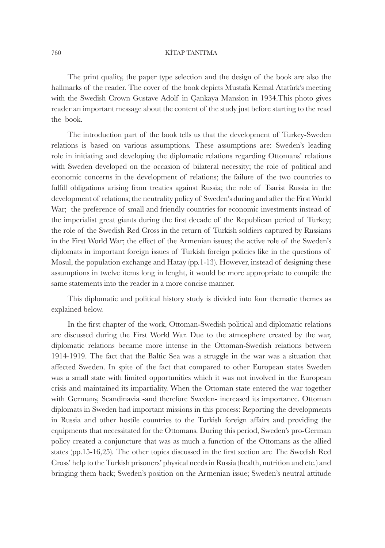## 760 KİTAP TANITMA

The print quality, the paper type selection and the design of the book are also the hallmarks of the reader. The cover of the book depicts Mustafa Kemal Atatürk's meeting with the Swedish Crown Gustave Adolf in Çankaya Mansion in 1934.This photo gives reader an important message about the content of the study just before starting to the read the book.

The introduction part of the book tells us that the development of Turkey-Sweden relations is based on various assumptions. These assumptions are: Sweden's leading role in initiating and developing the diplomatic relations regarding Ottomans' relations with Sweden developed on the occasion of bilateral necessity; the role of political and economic concerns in the development of relations; the failure of the two countries to fulfill obligations arising from treaties against Russia; the role of Tsarist Russia in the development of relations; the neutrality policy of Sweden's during and after the First World War; the preference of small and friendly countries for economic investments instead of the imperialist great giants during the first decade of the Republican period of Turkey; the role of the Swedish Red Cross in the return of Turkish soldiers captured by Russians in the First World War; the effect of the Armenian issues; the active role of the Sweden's diplomats in important foreign issues of Turkish foreign policies like in the questions of Mosul, the population exchange and Hatay (pp.1-13). However, instead of designing these assumptions in twelve items long in lenght, it would be more appropriate to compile the same statements into the reader in a more concise manner.

This diplomatic and political history study is divided into four thematic themes as explained below.

In the first chapter of the work, Ottoman-Swedish political and diplomatic relations are discussed during the First World War. Due to the atmosphere created by the war, diplomatic relations became more intense in the Ottoman-Swedish relations between 1914-1919. The fact that the Baltic Sea was a struggle in the war was a situation that affected Sweden. In spite of the fact that compared to other European states Sweden was a small state with limited opportunities which it was not involved in the European crisis and maintained its impartiality. When the Ottoman state entered the war together with Germany, Scandinavia -and therefore Sweden- increased its importance. Ottoman diplomats in Sweden had important missions in this process: Reporting the developments in Russia and other hostile countries to the Turkish foreign affairs and providing the equipments that necessitated for the Ottomans. During this period, Sweden's pro-German policy created a conjuncture that was as much a function of the Ottomans as the allied states (pp.15-16,25). The other topics discussed in the first section are The Swedish Red Cross' help to the Turkish prisoners' physical needs in Russia (health, nutrition and etc.) and bringing them back; Sweden's position on the Armenian issue; Sweden's neutral attitude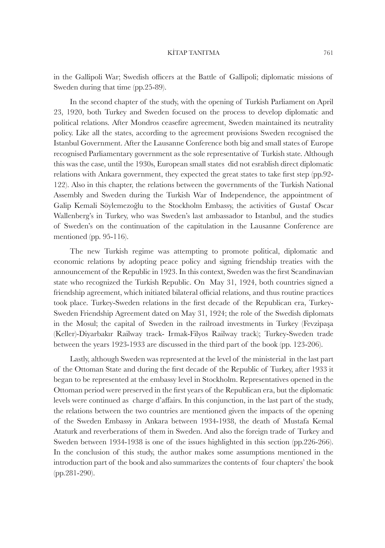## KİTAP TANITMA 761

in the Gallipoli War; Swedish officers at the Battle of Gallipoli; diplomatic missions of Sweden during that time (pp.25-89).

In the second chapter of the study, with the opening of Turkish Parliament on April 23, 1920, both Turkey and Sweden focused on the process to develop diplomatic and political relations. After Mondros ceasefire agreement, Sweden maintained its neutrality policy. Like all the states, according to the agreement provisions Sweden recognised the Istanbul Government. After the Lausanne Conference both big and small states of Europe recognised Parliamentary government as the sole representative of Turkish state. Although this was the case, until the 1930s, European small states did not esrablish direct diplomatic relations with Ankara government, they expected the great states to take first step (pp.92-122). Also in this chapter, the relations between the governments of the Turkish National Assembly and Sweden during the Turkish War of Independence, the appointment of Galip Kemali Söylemezoğlu to the Stockholm Embassy, the activities of Gustaf Oscar Wallenberg's in Turkey, who was Sweden's last ambassador to Istanbul, and the studies of Sweden's on the continuation of the capitulation in the Lausanne Conference are mentioned (pp. 95-116).

The new Turkish regime was attempting to promote political, diplomatic and economic relations by adopting peace policy and signing friendship treaties with the announcement of the Republic in 1923. In this context, Sweden was the first Scandinavian state who recognized the Turkish Republic. On May 31, 1924, both countries signed a friendship agreement, which initiated bilateral official relations, and thus routine practices took place. Turkey-Sweden relations in the first decade of the Republican era, Turkey-Sweden Friendship Agreement dated on May 31, 1924; the role of the Swedish diplomats in the Mosul; the capital of Sweden in the railroad investments in Turkey (Fevzipaşa (Keller)-Diyarbakır Railway track- Irmak-Filyos Railway track); Turkey-Sweden trade between the years 1923-1933 are discussed in the third part of the book (pp. 123-206).

Lastly, although Sweden was represented at the level of the ministerial in the last part of the Ottoman State and during the first decade of the Republic of Turkey, after 1933 it began to be represented at the embassy level in Stockholm. Representatives opened in the Ottoman period were preserved in the first years of the Republican era, but the diplomatic levels were continued as charge d'affairs. In this conjunction, in the last part of the study, the relations between the two countries are mentioned given the impacts of the opening of the Sweden Embassy in Ankara between 1934-1938, the death of Mustafa Kemal Ataturk and reverberations of them in Sweden. And also the foreign trade of Turkey and Sweden between 1934-1938 is one of the issues highlighted in this section (pp.226-266). In the conclusion of this study, the author makes some assumptions mentioned in the introduction part of the book and also summarizes the contents of four chapters' the book (pp.281-290).